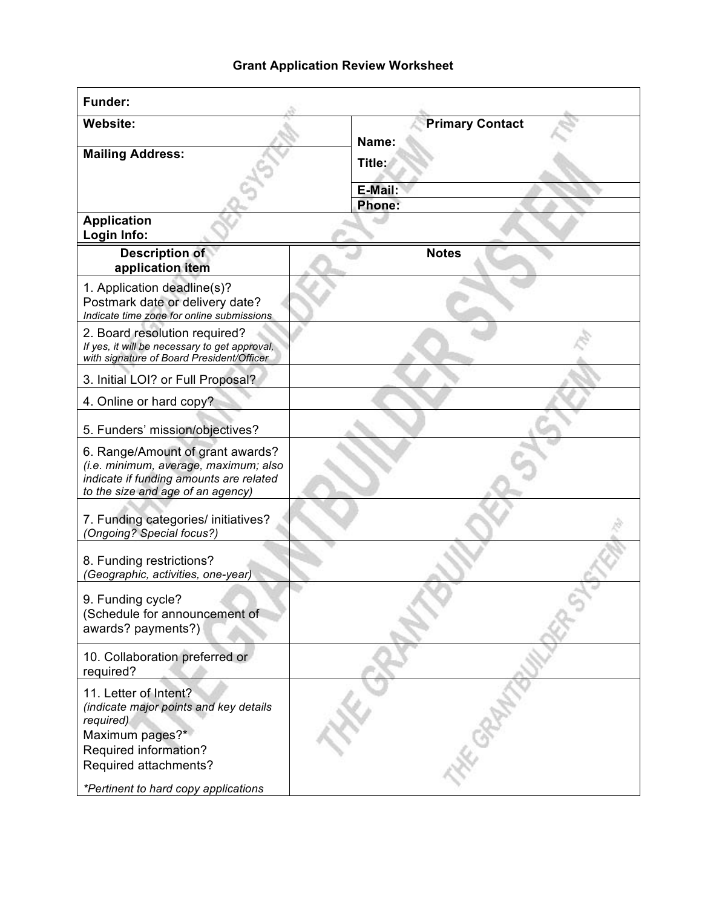## **Grant Application Review Worksheet**

| <b>Funder:</b>                                                                                                                                            |                                 |
|-----------------------------------------------------------------------------------------------------------------------------------------------------------|---------------------------------|
| <b>Website:</b><br><b>Mailing Address:</b>                                                                                                                | <b>Primary Contact</b><br>Name: |
|                                                                                                                                                           | Title:                          |
|                                                                                                                                                           | E-Mail:<br>Phone:               |
| <b>Application</b><br>Login Info:                                                                                                                         |                                 |
| <b>Description of</b><br>application item                                                                                                                 | <b>Notes</b>                    |
| 1. Application deadline(s)?<br>Postmark date or delivery date?<br>Indicate time zone for online submissions                                               |                                 |
| 2. Board resolution required?<br>If yes, it will be necessary to get approval,<br>with signature of Board President/Officer                               |                                 |
| 3. Initial LOI? or Full Proposal?                                                                                                                         |                                 |
| 4. Online or hard copy?                                                                                                                                   |                                 |
| 5. Funders' mission/objectives?                                                                                                                           |                                 |
| 6. Range/Amount of grant awards?<br>(i.e. minimum, average, maximum; also<br>indicate if funding amounts are related<br>to the size and age of an agency) |                                 |
| 7. Funding categories/ initiatives?<br>(Ongoing? Special focus?)                                                                                          |                                 |
| 8. Funding restrictions?<br>(Geographic, activities, one-year)                                                                                            |                                 |
| 9. Funding cycle?<br>(Schedule for announcement of<br>awards? payments?)                                                                                  |                                 |
| 10. Collaboration preferred or<br>required?                                                                                                               |                                 |
| 11. Letter of Intent?<br>(indicate major points and key details<br>required)<br>Maximum pages?*<br>Required information?<br>Required attachments?         |                                 |
| *Pertinent to hard copy applications                                                                                                                      |                                 |